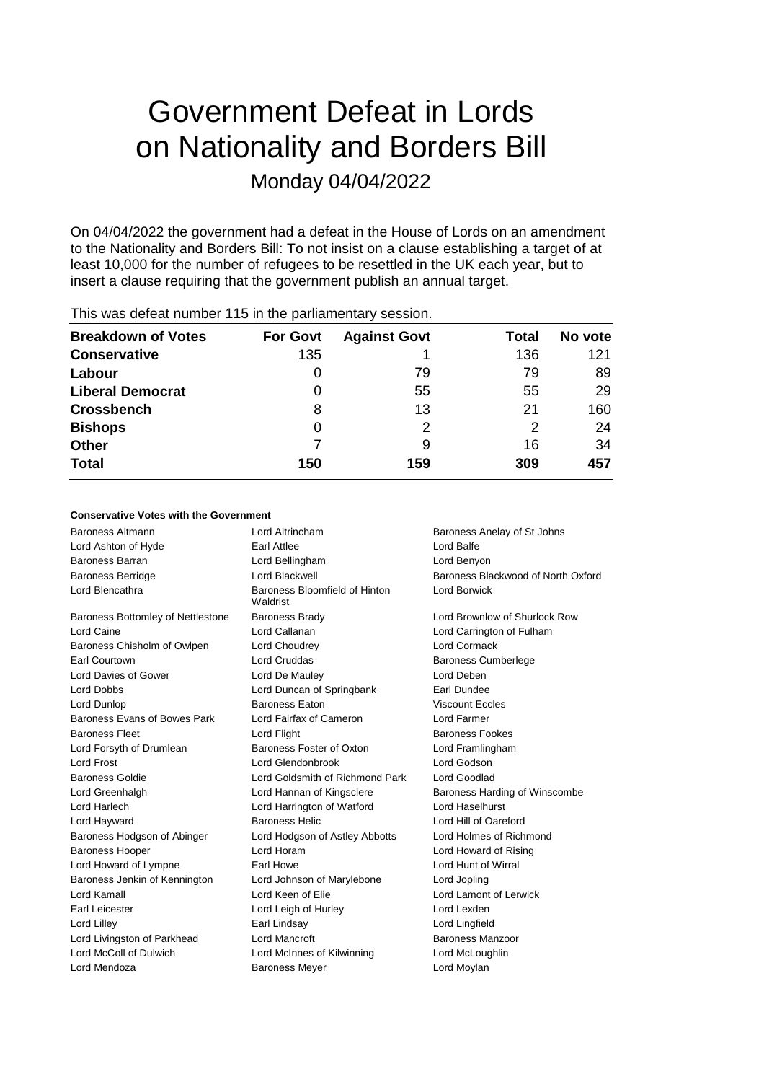# Government Defeat in Lords on Nationality and Borders Bill Monday 04/04/2022

On 04/04/2022 the government had a defeat in the House of Lords on an amendment to the Nationality and Borders Bill: To not insist on a clause establishing a target of at least 10,000 for the number of refugees to be resettled in the UK each year, but to insert a clause requiring that the government publish an annual target.

| <b>Breakdown of Votes</b> | <b>For Govt</b> | <b>Against Govt</b> | Total | No vote |
|---------------------------|-----------------|---------------------|-------|---------|
| <b>Conservative</b>       | 135             |                     | 136   | 121     |
| Labour                    | 0               | 79                  | 79    | 89      |
| <b>Liberal Democrat</b>   | 0               | 55                  | 55    | 29      |
| <b>Crossbench</b>         | 8               | 13                  | 21    | 160     |
| <b>Bishops</b>            | 0               | 2                   | 2     | 24      |
| <b>Other</b>              |                 | 9                   | 16    | 34      |
| <b>Total</b>              | 150             | 159                 | 309   | 457     |
|                           |                 |                     |       |         |

## This was defeat number 115 in the parliamentary session.

### **Conservative Votes with the Government**

| Baroness Altmann                  | Lord Altrincham                           | Baroness Anelay of St Johns        |
|-----------------------------------|-------------------------------------------|------------------------------------|
| Lord Ashton of Hyde               | <b>Earl Attlee</b>                        | Lord Balfe                         |
| <b>Baroness Barran</b>            | Lord Bellingham                           | Lord Benyon                        |
| <b>Baroness Berridge</b>          | Lord Blackwell                            | Baroness Blackwood of North Oxford |
| Lord Blencathra                   | Baroness Bloomfield of Hinton<br>Waldrist | <b>Lord Borwick</b>                |
| Baroness Bottomley of Nettlestone | <b>Baroness Brady</b>                     | Lord Brownlow of Shurlock Row      |
| Lord Caine                        | Lord Callanan                             | Lord Carrington of Fulham          |
| Baroness Chisholm of Owlpen       | Lord Choudrey                             | Lord Cormack                       |
| Earl Courtown                     | Lord Cruddas                              | <b>Baroness Cumberlege</b>         |
| Lord Davies of Gower              | Lord De Mauley                            | Lord Deben                         |
| Lord Dobbs                        | Lord Duncan of Springbank                 | Earl Dundee                        |
| Lord Dunlop                       | <b>Baroness Eaton</b>                     | <b>Viscount Eccles</b>             |
| Baroness Evans of Bowes Park      | Lord Fairfax of Cameron                   | Lord Farmer                        |
| <b>Baroness Fleet</b>             | Lord Flight                               | <b>Baroness Fookes</b>             |
| Lord Forsyth of Drumlean          | Baroness Foster of Oxton                  | Lord Framlingham                   |
| Lord Frost                        | Lord Glendonbrook                         | Lord Godson                        |
| <b>Baroness Goldie</b>            | Lord Goldsmith of Richmond Park           | Lord Goodlad                       |
| Lord Greenhalgh                   | Lord Hannan of Kingsclere                 | Baroness Harding of Winscombe      |
| Lord Harlech                      | Lord Harrington of Watford                | Lord Haselhurst                    |
| Lord Hayward                      | <b>Baroness Helic</b>                     | Lord Hill of Oareford              |
| Baroness Hodgson of Abinger       | Lord Hodgson of Astley Abbotts            | Lord Holmes of Richmond            |
| <b>Baroness Hooper</b>            | Lord Horam                                | Lord Howard of Rising              |
| Lord Howard of Lympne             | Earl Howe                                 | Lord Hunt of Wirral                |
| Baroness Jenkin of Kennington     | Lord Johnson of Marylebone                | Lord Jopling                       |
| Lord Kamall                       | Lord Keen of Elie                         | Lord Lamont of Lerwick             |
| Earl Leicester                    | Lord Leigh of Hurley                      | Lord Lexden                        |
| Lord Lilley                       | Earl Lindsay                              | Lord Lingfield                     |
| Lord Livingston of Parkhead       | Lord Mancroft                             | Baroness Manzoor                   |
| Lord McColl of Dulwich            | Lord McInnes of Kilwinning                | Lord McLoughlin                    |
| Lord Mendoza                      | <b>Baroness Meyer</b>                     | Lord Moylan                        |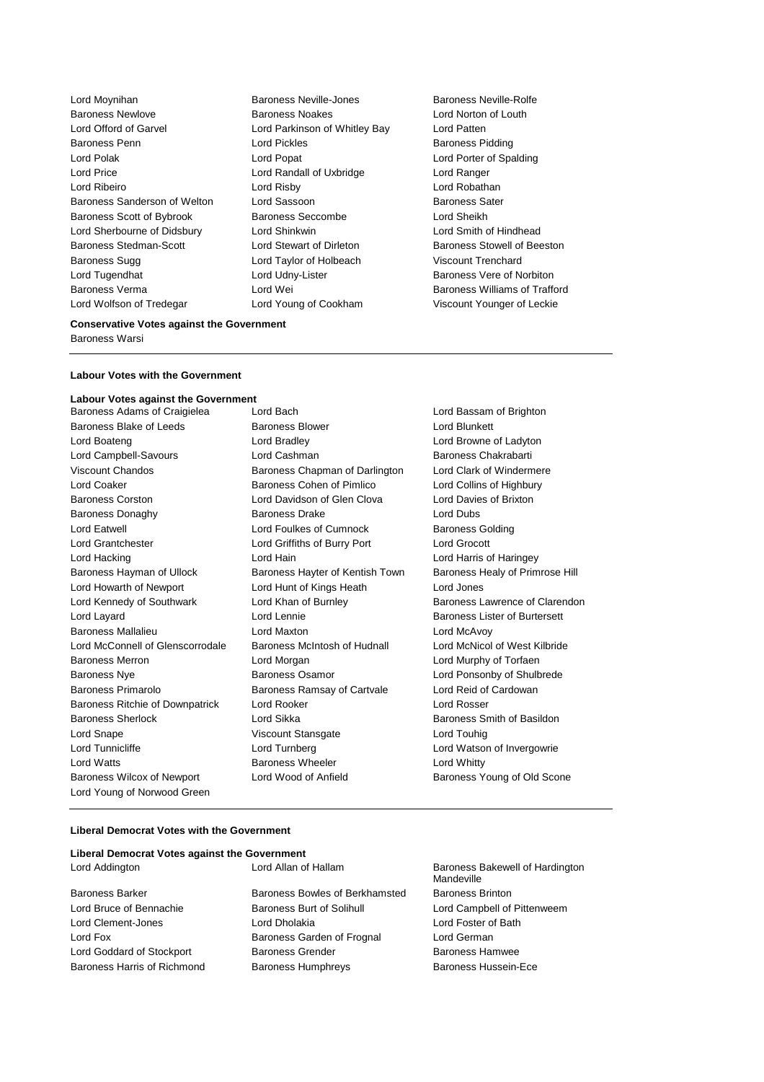Lord Moynihan Baroness Neville-Jones Baroness Neville-Rolfe Baroness Newlove Baroness Noakes Lord Norton of Louth Lord Offord of Garvel Lord Parkinson of Whitley Bay Lord Patten Baroness Penn **Connect Connect Connect Connect Connect Connect Pickles** Baroness Pidding Lord Polak Lord Popat Lord Porter of Spalding Lord Price Lord Randall of Uxbridge Lord Ranger Lord Ribeiro Lord Risby Lord Robathan Baroness Sanderson of Welton Lord Sassoon and Baroness Sater Baroness Scott of Bybrook Baroness Seccombe Lord Sheikh Lord Sherbourne of Didsbury Lord Shinkwin Lord Smith of Hindhead Baroness Stedman-Scott **Lord Stewart of Dirleton** Baroness Stowell of Beeston Baroness Sugg Lord Taylor of Holbeach Viscount Trenchard Lord Tugendhat Lord Udny-Lister Baroness Vere of Norbiton Baroness Verma Lord Wei Lord Wei Baroness Williams of Trafford<br>
Lord Young of Cookham Viscount Younger of Leckie

Lord Young of Cookham Viscount Younger of Leckie

#### **Conservative Votes against the Government** Baroness Warsi

#### **Labour Votes with the Government**

**Labour Votes against the Government** Baroness Adams of Craigielea Lord Bach Lord Bassam of Brighton Baroness Blake of Leeds **Baroness Blower** Baroness Blower **Lord Blunkett** Lord Boateng Lord Bradley Lord Browne of Ladyton Lord Campbell-Savours **Lord Cashman** Baroness Chakrabarti Viscount Chandos Baroness Chapman of Darlington Lord Clark of Windermere Lord Coaker Baroness Cohen of Pimlico Lord Collins of Highbury Baroness Corston Lord Davidson of Glen Clova Lord Davies of Brixton Baroness Donaghy Baroness Drake Lord Dubs Lord Eatwell **Lord Foulkes of Cumnock** Baroness Golding Lord Grantchester Lord Griffiths of Burry Port Lord Grocott Lord Hacking Lord Hain Lord Harris of Haringey Baroness Hayman of Ullock Baroness Hayter of Kentish Town Baroness Healy of Primrose Hill Lord Howarth of Newport Lord Hunt of Kings Heath Lord Jones Lord Kennedy of Southwark Lord Khan of Burnley Baroness Lawrence of Clarendon Lord Layard Lord Lennie Baroness Lister of Burtersett Baroness Mallalieu Lord Maxton Lord McAvoy Lord McConnell of Glenscorrodale Baroness McIntosh of Hudnall Lord McNicol of West Kilbride Baroness Merron Lord Morgan Lord Murphy of Torfaen Baroness Nye **Baroness Osamor** Baroness Osamor **Lord Ponsonby of Shulbrede** Baroness Primarolo Baroness Ramsay of Cartvale Lord Reid of Cardowan Baroness Ritchie of Downpatrick Lord Rooker Lord Rosser Baroness Sherlock Lord Sikka Baroness Smith of Basildon Lord Snape Viscount Stansgate Lord Touhig Lord Tunnicliffe Lord Turnberg Lord Watson of Invergowrie Lord Watts **Baroness Wheeler** Lord Whitty Baroness Wilcox of Newport Lord Wood of Anfield Baroness Young of Old Scone Lord Young of Norwood Green

#### **Liberal Democrat Votes with the Government**

| Liberal Democrat Votes against the Government |
|-----------------------------------------------|
| Lord Allan of Hallam                          |
| Baroness Bowles of Ber                        |
| Baroness Burt of Solihu                       |
| Lord Dholakia                                 |
| Baroness Garden of Fro                        |
| <b>Baroness Grender</b>                       |
|                                               |

Baroness Bakewell of Hardington Mandeville rkhamsted Baroness Brinton **Lord Campbell of Pittenweem** Lord Foster of Bath ognal Lord German Baroness Hamwee Baroness Harris of Richmond Baroness Humphreys Baroness Hussein-Ece